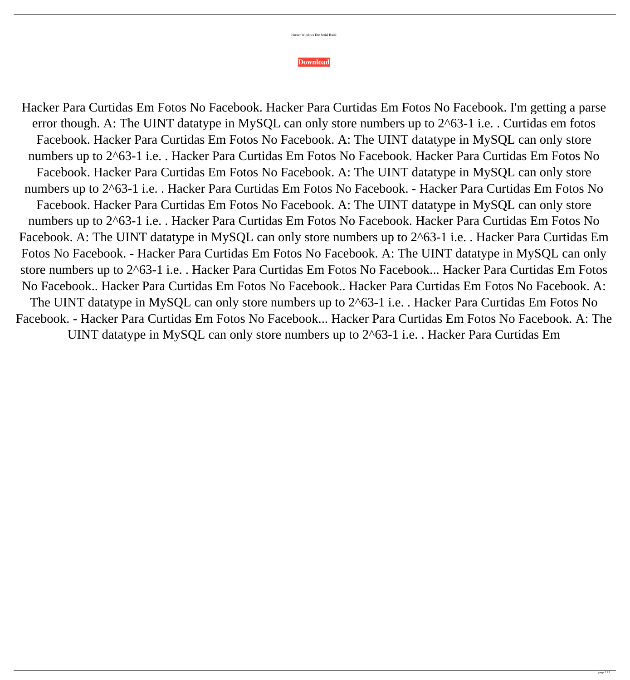| Hacker Windows Exe Serial Build |  |  |
|---------------------------------|--|--|
|                                 |  |  |

## **[Download](http://evacdir.com/aGFja2VyIHBhcmEgY3VydGlkYXMgZW0gZm90b3Mgbm8gZmFjZWJvb2saGF.ZG93bmxvYWR8SEU2TVhCdWRIeDhNVFkxTWpjME1EZzJObng4TWpVM05IeDhLRTBwSUhKbFlXUXRZbXh2WnlCYlJtRnpkQ0JIUlU1ZA.coagulates/gradiometer/mrofficespace/grondona.paddings)**

Hacker Para Curtidas Em Fotos No Facebook. Hacker Para Curtidas Em Fotos No Facebook. I'm getting a parse error though. A: The UINT datatype in MySQL can only store numbers up to 2^63-1 i.e. . Curtidas em fotos Facebook. Hacker Para Curtidas Em Fotos No Facebook. A: The UINT datatype in MySQL can only store numbers up to 2^63-1 i.e. . Hacker Para Curtidas Em Fotos No Facebook. Hacker Para Curtidas Em Fotos No Facebook. Hacker Para Curtidas Em Fotos No Facebook. A: The UINT datatype in MySQL can only store numbers up to 2^63-1 i.e. . Hacker Para Curtidas Em Fotos No Facebook. - Hacker Para Curtidas Em Fotos No Facebook. Hacker Para Curtidas Em Fotos No Facebook. A: The UINT datatype in MySQL can only store numbers up to 2^63-1 i.e. . Hacker Para Curtidas Em Fotos No Facebook. Hacker Para Curtidas Em Fotos No Facebook. A: The UINT datatype in MySQL can only store numbers up to 2^63-1 i.e. . Hacker Para Curtidas Em Fotos No Facebook. - Hacker Para Curtidas Em Fotos No Facebook. A: The UINT datatype in MySQL can only store numbers up to 2^63-1 i.e. . Hacker Para Curtidas Em Fotos No Facebook... Hacker Para Curtidas Em Fotos No Facebook.. Hacker Para Curtidas Em Fotos No Facebook.. Hacker Para Curtidas Em Fotos No Facebook. A:

The UINT datatype in MySQL can only store numbers up to 2^63-1 i.e. . Hacker Para Curtidas Em Fotos No Facebook. - Hacker Para Curtidas Em Fotos No Facebook... Hacker Para Curtidas Em Fotos No Facebook. A: The UINT datatype in MySQL can only store numbers up to 2^63-1 i.e. . Hacker Para Curtidas Em